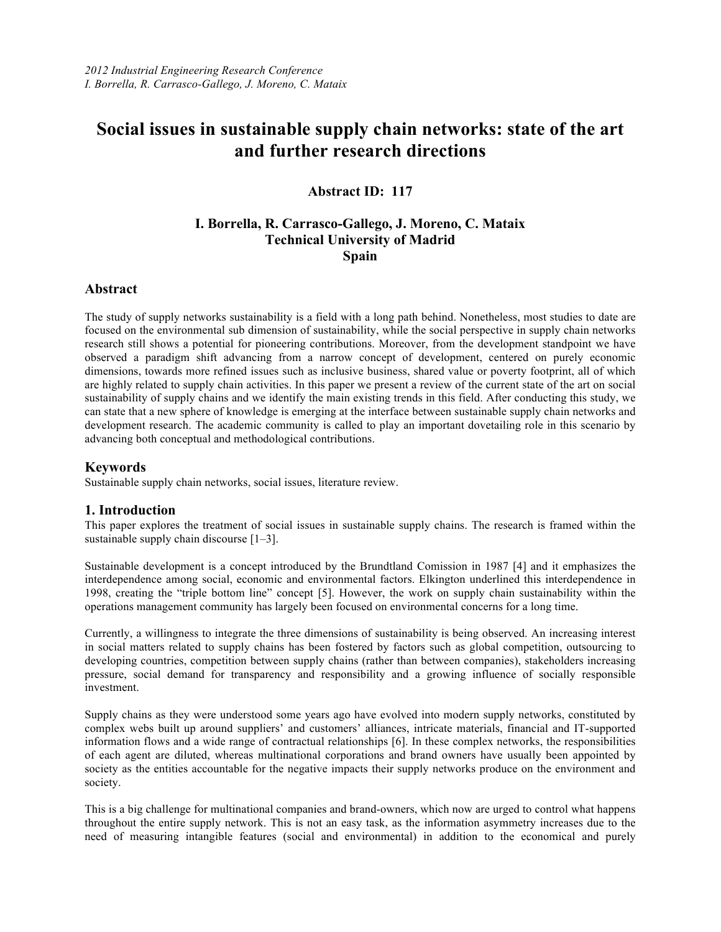# **Social issues in sustainable supply chain networks: state of the art and further research directions**

# **Abstract ID: 117**

# **I. Borrella, R. Carrasco-Gallego, J. Moreno, C. Mataix Technical University of Madrid Spain**

# **Abstract**

The study of supply networks sustainability is a field with a long path behind. Nonetheless, most studies to date are focused on the environmental sub dimension of sustainability, while the social perspective in supply chain networks research still shows a potential for pioneering contributions. Moreover, from the development standpoint we have observed a paradigm shift advancing from a narrow concept of development, centered on purely economic dimensions, towards more refined issues such as inclusive business, shared value or poverty footprint, all of which are highly related to supply chain activities. In this paper we present a review of the current state of the art on social sustainability of supply chains and we identify the main existing trends in this field. After conducting this study, we can state that a new sphere of knowledge is emerging at the interface between sustainable supply chain networks and development research. The academic community is called to play an important dovetailing role in this scenario by advancing both conceptual and methodological contributions.

## **Keywords**

Sustainable supply chain networks, social issues, literature review.

# **1. Introduction**

This paper explores the treatment of social issues in sustainable supply chains. The research is framed within the sustainable supply chain discourse [1–3].

Sustainable development is a concept introduced by the Brundtland Comission in 1987 [4] and it emphasizes the interdependence among social, economic and environmental factors. Elkington underlined this interdependence in 1998, creating the "triple bottom line" concept [5]. However, the work on supply chain sustainability within the operations management community has largely been focused on environmental concerns for a long time.

Currently, a willingness to integrate the three dimensions of sustainability is being observed. An increasing interest in social matters related to supply chains has been fostered by factors such as global competition, outsourcing to developing countries, competition between supply chains (rather than between companies), stakeholders increasing pressure, social demand for transparency and responsibility and a growing influence of socially responsible investment.

Supply chains as they were understood some years ago have evolved into modern supply networks, constituted by complex webs built up around suppliers' and customers' alliances, intricate materials, financial and IT-supported information flows and a wide range of contractual relationships [6]. In these complex networks, the responsibilities of each agent are diluted, whereas multinational corporations and brand owners have usually been appointed by society as the entities accountable for the negative impacts their supply networks produce on the environment and society.

This is a big challenge for multinational companies and brand-owners, which now are urged to control what happens throughout the entire supply network. This is not an easy task, as the information asymmetry increases due to the need of measuring intangible features (social and environmental) in addition to the economical and purely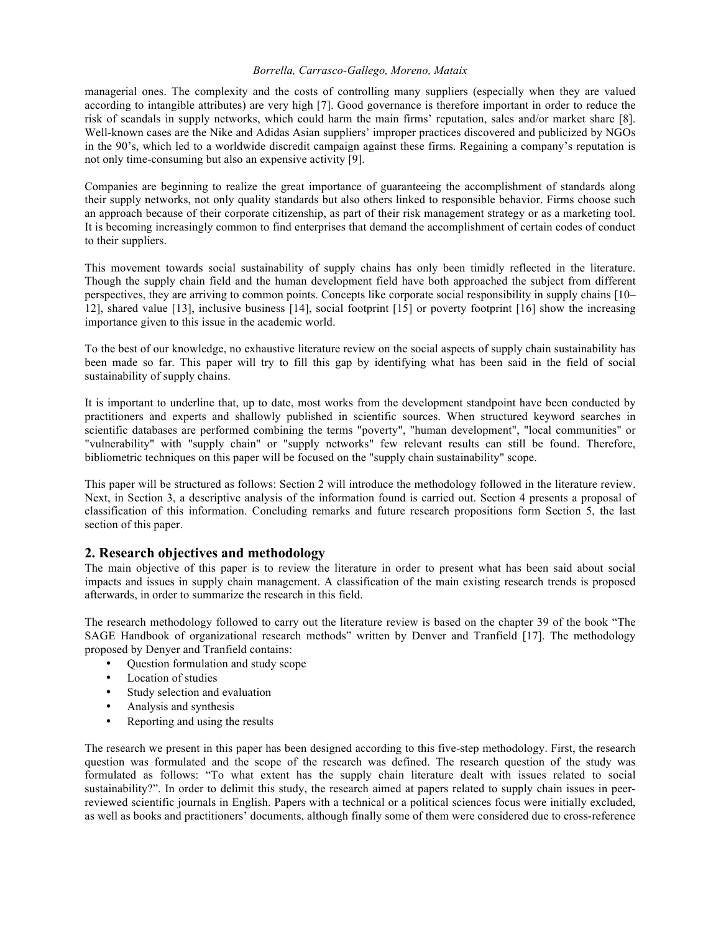managerial ones. The complexity and the costs of controlling many suppliers (especially when they are valued according to intangible attributes) are very high [7]. Good governance is therefore important in order to reduce the risk of scandals in supply networks, which could harm the main firms' reputation, sales and/or market share [8]. Well-known cases are the Nike and Adidas Asian suppliers' improper practices discovered and publicized by NGOs in the 90's, which led to a worldwide discredit campaign against these firms. Regaining a company's reputation is not only time-consuming but also an expensive activity [9].

Companies are beginning to realize the great importance of guaranteeing the accomplishment of standards along their supply networks, not only quality standards but also others linked to responsible behavior. Firms choose such an approach because of their corporate citizenship, as part of their risk management strategy or as a marketing tool. It is becoming increasingly common to find enterprises that demand the accomplishment of certain codes of conduct to their suppliers.

This movement towards social sustainability of supply chains has only been timidly reflected in the literature. Though the supply chain field and the human development field have both approached the subject from different perspectives, they are arriving to common points. Concepts like corporate social responsibility in supply chains [10– 12], shared value [13], inclusive business [14], social footprint [15] or poverty footprint [16] show the increasing importance given to this issue in the academic world.

To the best of our knowledge, no exhaustive literature review on the social aspects of supply chain sustainability has been made so far. This paper will try to fill this gap by identifying what has been said in the field of social sustainability of supply chains.

It is important to underline that, up to date, most works from the development standpoint have been conducted by practitioners and experts and shallowly published in scientific sources. When structured keyword searches in scientific databases are performed combining the terms "poverty", "human development", "local communities" or "vulnerability" with "supply chain" or "supply networks" few relevant results can still be found. Therefore, bibliometric techniques on this paper will be focused on the "supply chain sustainability" scope.

This paper will be structured as follows: Section 2 will introduce the methodology followed in the literature review. Next, in Section 3, a descriptive analysis of the information found is carried out. Section 4 presents a proposal of classification of this information. Concluding remarks and future research propositions form Section 5, the last section of this paper.

# **2. Research objectives and methodology**

The main objective of this paper is to review the literature in order to present what has been said about social impacts and issues in supply chain management. A classification of the main existing research trends is proposed afterwards, in order to summarize the research in this field.

The research methodology followed to carry out the literature review is based on the chapter 39 of the book "The SAGE Handbook of organizational research methods" written by Denver and Tranfield [17]. The methodology proposed by Denyer and Tranfield contains:

- Question formulation and study scope
- Location of studies
- Study selection and evaluation
- Analysis and synthesis
- Reporting and using the results

The research we present in this paper has been designed according to this five-step methodology. First, the research question was formulated and the scope of the research was defined. The research question of the study was formulated as follows: "To what extent has the supply chain literature dealt with issues related to social sustainability?". In order to delimit this study, the research aimed at papers related to supply chain issues in peerreviewed scientific journals in English. Papers with a technical or a political sciences focus were initially excluded, as well as books and practitioners' documents, although finally some of them were considered due to cross-reference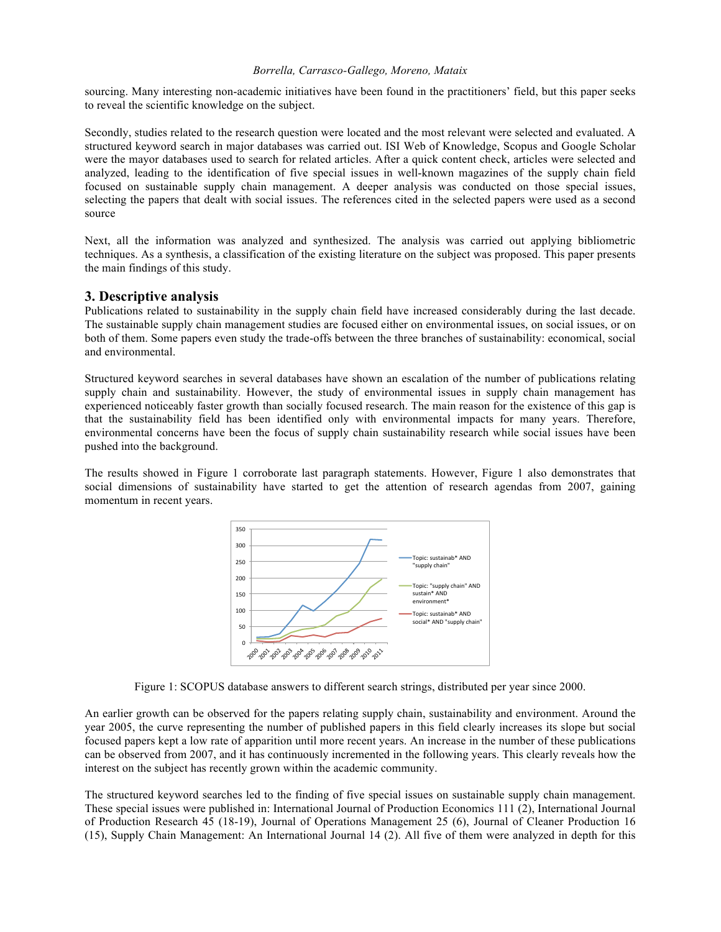sourcing. Many interesting non-academic initiatives have been found in the practitioners' field, but this paper seeks to reveal the scientific knowledge on the subject.

Secondly, studies related to the research question were located and the most relevant were selected and evaluated. A structured keyword search in major databases was carried out. ISI Web of Knowledge, Scopus and Google Scholar were the mayor databases used to search for related articles. After a quick content check, articles were selected and analyzed, leading to the identification of five special issues in well-known magazines of the supply chain field focused on sustainable supply chain management. A deeper analysis was conducted on those special issues, selecting the papers that dealt with social issues. The references cited in the selected papers were used as a second source

Next, all the information was analyzed and synthesized. The analysis was carried out applying bibliometric techniques. As a synthesis, a classification of the existing literature on the subject was proposed. This paper presents the main findings of this study.

## **3. Descriptive analysis**

Publications related to sustainability in the supply chain field have increased considerably during the last decade. The sustainable supply chain management studies are focused either on environmental issues, on social issues, or on both of them. Some papers even study the trade-offs between the three branches of sustainability: economical, social and environmental.

Structured keyword searches in several databases have shown an escalation of the number of publications relating supply chain and sustainability. However, the study of environmental issues in supply chain management has experienced noticeably faster growth than socially focused research. The main reason for the existence of this gap is that the sustainability field has been identified only with environmental impacts for many years. Therefore, environmental concerns have been the focus of supply chain sustainability research while social issues have been pushed into the background.

The results showed in Figure 1 corroborate last paragraph statements. However, Figure 1 also demonstrates that social dimensions of sustainability have started to get the attention of research agendas from 2007, gaining momentum in recent years.



Figure 1: SCOPUS database answers to different search strings, distributed per year since 2000.

An earlier growth can be observed for the papers relating supply chain, sustainability and environment. Around the year 2005, the curve representing the number of published papers in this field clearly increases its slope but social focused papers kept a low rate of apparition until more recent years. An increase in the number of these publications can be observed from 2007, and it has continuously incremented in the following years. This clearly reveals how the interest on the subject has recently grown within the academic community.

The structured keyword searches led to the finding of five special issues on sustainable supply chain management. These special issues were published in: International Journal of Production Economics 111 (2), International Journal of Production Research 45 (18-19), Journal of Operations Management 25 (6), Journal of Cleaner Production 16 (15), Supply Chain Management: An International Journal 14 (2). All five of them were analyzed in depth for this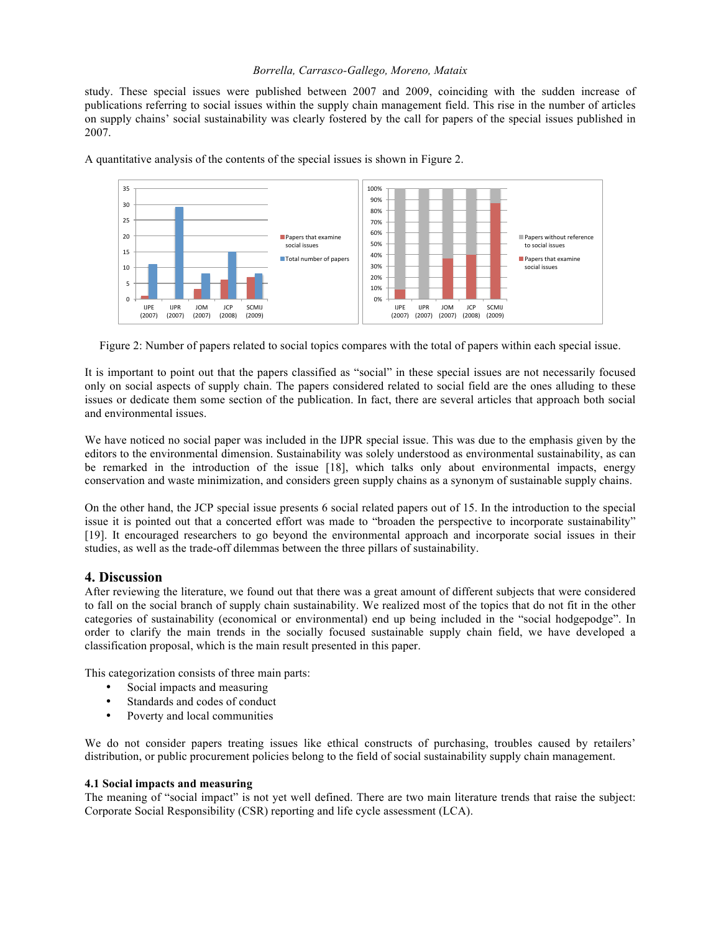study. These special issues were published between 2007 and 2009, coinciding with the sudden increase of publications referring to social issues within the supply chain management field. This rise in the number of articles on supply chains' social sustainability was clearly fostered by the call for papers of the special issues published in 2007.



A quantitative analysis of the contents of the special issues is shown in Figure 2.

Figure 2: Number of papers related to social topics compares with the total of papers within each special issue.

It is important to point out that the papers classified as "social" in these special issues are not necessarily focused only on social aspects of supply chain. The papers considered related to social field are the ones alluding to these issues or dedicate them some section of the publication. In fact, there are several articles that approach both social and environmental issues.

We have noticed no social paper was included in the IJPR special issue. This was due to the emphasis given by the editors to the environmental dimension. Sustainability was solely understood as environmental sustainability, as can be remarked in the introduction of the issue [18], which talks only about environmental impacts, energy conservation and waste minimization, and considers green supply chains as a synonym of sustainable supply chains.

On the other hand, the JCP special issue presents 6 social related papers out of 15. In the introduction to the special issue it is pointed out that a concerted effort was made to "broaden the perspective to incorporate sustainability" [19]. It encouraged researchers to go beyond the environmental approach and incorporate social issues in their studies, as well as the trade-off dilemmas between the three pillars of sustainability.

## **4. Discussion**

After reviewing the literature, we found out that there was a great amount of different subjects that were considered to fall on the social branch of supply chain sustainability. We realized most of the topics that do not fit in the other categories of sustainability (economical or environmental) end up being included in the "social hodgepodge". In order to clarify the main trends in the socially focused sustainable supply chain field, we have developed a classification proposal, which is the main result presented in this paper.

This categorization consists of three main parts:

- Social impacts and measuring
- Standards and codes of conduct
- Poverty and local communities

We do not consider papers treating issues like ethical constructs of purchasing, troubles caused by retailers' distribution, or public procurement policies belong to the field of social sustainability supply chain management.

#### **4.1 Social impacts and measuring**

The meaning of "social impact" is not yet well defined. There are two main literature trends that raise the subject: Corporate Social Responsibility (CSR) reporting and life cycle assessment (LCA).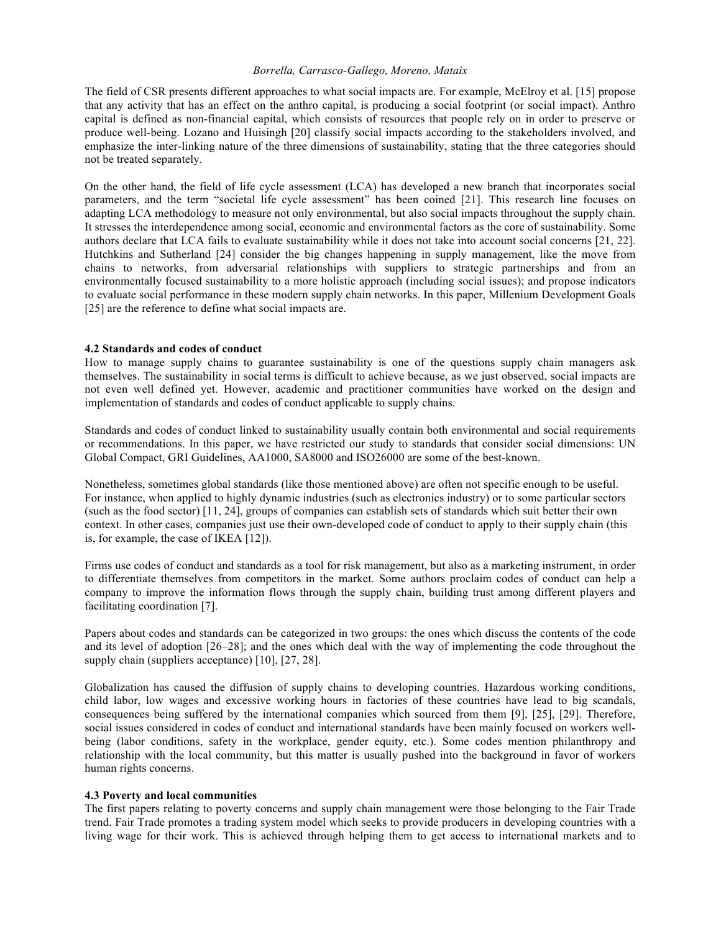The field of CSR presents different approaches to what social impacts are. For example, McElroy et al. [15] propose that any activity that has an effect on the anthro capital, is producing a social footprint (or social impact). Anthro capital is defined as non-financial capital, which consists of resources that people rely on in order to preserve or produce well-being. Lozano and Huisingh [20] classify social impacts according to the stakeholders involved, and emphasize the inter-linking nature of the three dimensions of sustainability, stating that the three categories should not be treated separately.

On the other hand, the field of life cycle assessment (LCA) has developed a new branch that incorporates social parameters, and the term "societal life cycle assessment" has been coined [21]. This research line focuses on adapting LCA methodology to measure not only environmental, but also social impacts throughout the supply chain. It stresses the interdependence among social, economic and environmental factors as the core of sustainability. Some authors declare that LCA fails to evaluate sustainability while it does not take into account social concerns [21, 22]. Hutchkins and Sutherland [24] consider the big changes happening in supply management, like the move from chains to networks, from adversarial relationships with suppliers to strategic partnerships and from an environmentally focused sustainability to a more holistic approach (including social issues); and propose indicators to evaluate social performance in these modern supply chain networks. In this paper, Millenium Development Goals [25] are the reference to define what social impacts are.

#### **4.2 Standards and codes of conduct**

How to manage supply chains to guarantee sustainability is one of the questions supply chain managers ask themselves. The sustainability in social terms is difficult to achieve because, as we just observed, social impacts are not even well defined yet. However, academic and practitioner communities have worked on the design and implementation of standards and codes of conduct applicable to supply chains.

Standards and codes of conduct linked to sustainability usually contain both environmental and social requirements or recommendations. In this paper, we have restricted our study to standards that consider social dimensions: UN Global Compact, GRI Guidelines, AA1000, SA8000 and ISO26000 are some of the best-known.

Nonetheless, sometimes global standards (like those mentioned above) are often not specific enough to be useful. For instance, when applied to highly dynamic industries (such as electronics industry) or to some particular sectors (such as the food sector) [11, 24], groups of companies can establish sets of standards which suit better their own context. In other cases, companies just use their own-developed code of conduct to apply to their supply chain (this is, for example, the case of IKEA [12]).

Firms use codes of conduct and standards as a tool for risk management, but also as a marketing instrument, in order to differentiate themselves from competitors in the market. Some authors proclaim codes of conduct can help a company to improve the information flows through the supply chain, building trust among different players and facilitating coordination [7].

Papers about codes and standards can be categorized in two groups: the ones which discuss the contents of the code and its level of adoption [26–28]; and the ones which deal with the way of implementing the code throughout the supply chain (suppliers acceptance) [10], [27, 28].

Globalization has caused the diffusion of supply chains to developing countries. Hazardous working conditions, child labor, low wages and excessive working hours in factories of these countries have lead to big scandals, consequences being suffered by the international companies which sourced from them [9], [25], [29]. Therefore, social issues considered in codes of conduct and international standards have been mainly focused on workers wellbeing (labor conditions, safety in the workplace, gender equity, etc.). Some codes mention philanthropy and relationship with the local community, but this matter is usually pushed into the background in favor of workers human rights concerns.

#### **4.3 Poverty and local communities**

The first papers relating to poverty concerns and supply chain management were those belonging to the Fair Trade trend. Fair Trade promotes a trading system model which seeks to provide producers in developing countries with a living wage for their work. This is achieved through helping them to get access to international markets and to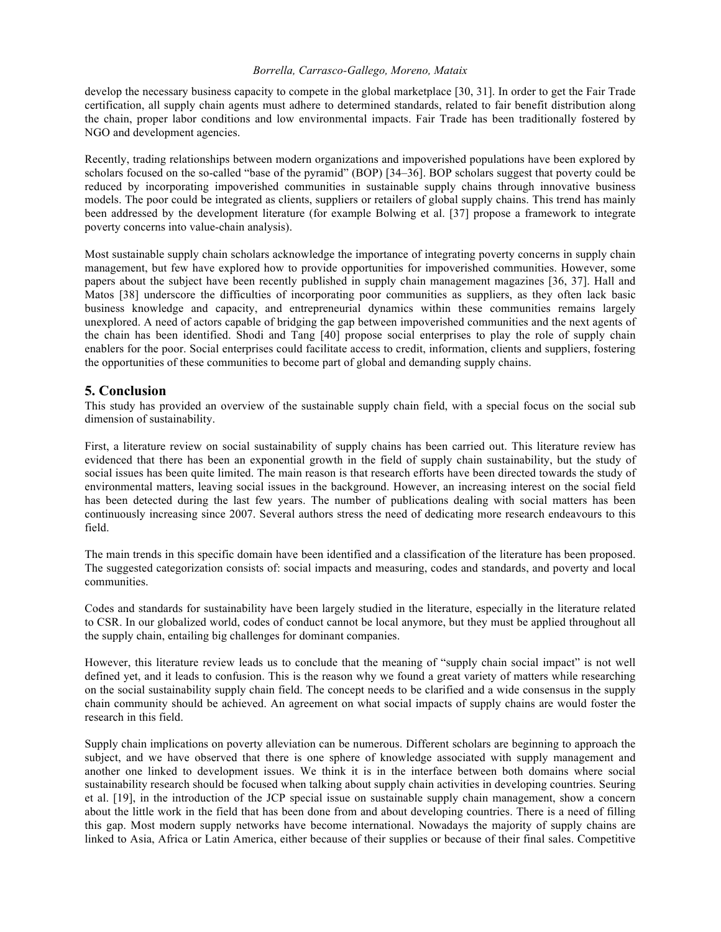develop the necessary business capacity to compete in the global marketplace [30, 31]. In order to get the Fair Trade certification, all supply chain agents must adhere to determined standards, related to fair benefit distribution along the chain, proper labor conditions and low environmental impacts. Fair Trade has been traditionally fostered by NGO and development agencies.

Recently, trading relationships between modern organizations and impoverished populations have been explored by scholars focused on the so-called "base of the pyramid" (BOP) [34–36]. BOP scholars suggest that poverty could be reduced by incorporating impoverished communities in sustainable supply chains through innovative business models. The poor could be integrated as clients, suppliers or retailers of global supply chains. This trend has mainly been addressed by the development literature (for example Bolwing et al. [37] propose a framework to integrate poverty concerns into value-chain analysis).

Most sustainable supply chain scholars acknowledge the importance of integrating poverty concerns in supply chain management, but few have explored how to provide opportunities for impoverished communities. However, some papers about the subject have been recently published in supply chain management magazines [36, 37]. Hall and Matos [38] underscore the difficulties of incorporating poor communities as suppliers, as they often lack basic business knowledge and capacity, and entrepreneurial dynamics within these communities remains largely unexplored. A need of actors capable of bridging the gap between impoverished communities and the next agents of the chain has been identified. Shodi and Tang [40] propose social enterprises to play the role of supply chain enablers for the poor. Social enterprises could facilitate access to credit, information, clients and suppliers, fostering the opportunities of these communities to become part of global and demanding supply chains.

## **5. Conclusion**

This study has provided an overview of the sustainable supply chain field, with a special focus on the social sub dimension of sustainability.

First, a literature review on social sustainability of supply chains has been carried out. This literature review has evidenced that there has been an exponential growth in the field of supply chain sustainability, but the study of social issues has been quite limited. The main reason is that research efforts have been directed towards the study of environmental matters, leaving social issues in the background. However, an increasing interest on the social field has been detected during the last few years. The number of publications dealing with social matters has been continuously increasing since 2007. Several authors stress the need of dedicating more research endeavours to this field.

The main trends in this specific domain have been identified and a classification of the literature has been proposed. The suggested categorization consists of: social impacts and measuring, codes and standards, and poverty and local communities.

Codes and standards for sustainability have been largely studied in the literature, especially in the literature related to CSR. In our globalized world, codes of conduct cannot be local anymore, but they must be applied throughout all the supply chain, entailing big challenges for dominant companies.

However, this literature review leads us to conclude that the meaning of "supply chain social impact" is not well defined yet, and it leads to confusion. This is the reason why we found a great variety of matters while researching on the social sustainability supply chain field. The concept needs to be clarified and a wide consensus in the supply chain community should be achieved. An agreement on what social impacts of supply chains are would foster the research in this field.

Supply chain implications on poverty alleviation can be numerous. Different scholars are beginning to approach the subject, and we have observed that there is one sphere of knowledge associated with supply management and another one linked to development issues. We think it is in the interface between both domains where social sustainability research should be focused when talking about supply chain activities in developing countries. Seuring et al. [19], in the introduction of the JCP special issue on sustainable supply chain management, show a concern about the little work in the field that has been done from and about developing countries. There is a need of filling this gap. Most modern supply networks have become international. Nowadays the majority of supply chains are linked to Asia, Africa or Latin America, either because of their supplies or because of their final sales. Competitive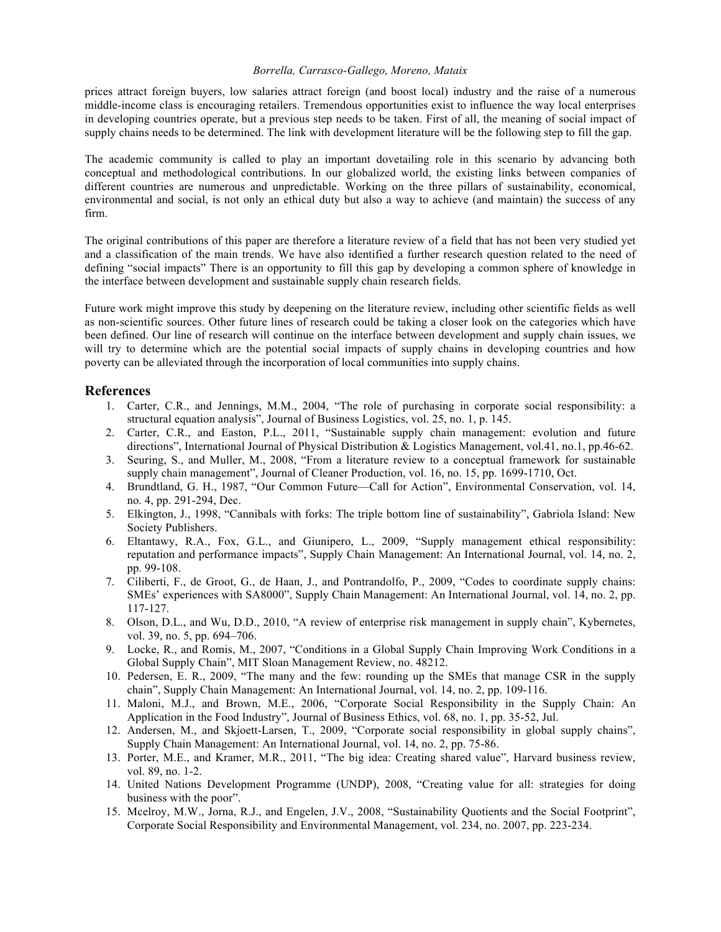prices attract foreign buyers, low salaries attract foreign (and boost local) industry and the raise of a numerous middle-income class is encouraging retailers. Tremendous opportunities exist to influence the way local enterprises in developing countries operate, but a previous step needs to be taken. First of all, the meaning of social impact of supply chains needs to be determined. The link with development literature will be the following step to fill the gap.

The academic community is called to play an important dovetailing role in this scenario by advancing both conceptual and methodological contributions. In our globalized world, the existing links between companies of different countries are numerous and unpredictable. Working on the three pillars of sustainability, economical, environmental and social, is not only an ethical duty but also a way to achieve (and maintain) the success of any firm.

The original contributions of this paper are therefore a literature review of a field that has not been very studied yet and a classification of the main trends. We have also identified a further research question related to the need of defining "social impacts" There is an opportunity to fill this gap by developing a common sphere of knowledge in the interface between development and sustainable supply chain research fields.

Future work might improve this study by deepening on the literature review, including other scientific fields as well as non-scientific sources. Other future lines of research could be taking a closer look on the categories which have been defined. Our line of research will continue on the interface between development and supply chain issues, we will try to determine which are the potential social impacts of supply chains in developing countries and how poverty can be alleviated through the incorporation of local communities into supply chains.

## **References**

- 1. Carter, C.R., and Jennings, M.M., 2004, "The role of purchasing in corporate social responsibility: a structural equation analysis", Journal of Business Logistics, vol. 25, no. 1, p. 145.
- 2. Carter, C.R., and Easton, P.L., 2011, "Sustainable supply chain management: evolution and future directions", International Journal of Physical Distribution & Logistics Management, vol.41, no.1, pp.46-62.
- 3. Seuring, S., and Muller, M., 2008, "From a literature review to a conceptual framework for sustainable supply chain management", Journal of Cleaner Production, vol. 16, no. 15, pp. 1699-1710, Oct.
- 4. Brundtland, G. H., 1987, "Our Common Future—Call for Action", Environmental Conservation, vol. 14, no. 4, pp. 291-294, Dec.
- 5. Elkington, J., 1998, "Cannibals with forks: The triple bottom line of sustainability", Gabriola Island: New Society Publishers.
- 6. Eltantawy, R.A., Fox, G.L., and Giunipero, L., 2009, "Supply management ethical responsibility: reputation and performance impacts", Supply Chain Management: An International Journal, vol. 14, no. 2, pp. 99-108.
- 7. Ciliberti, F., de Groot, G., de Haan, J., and Pontrandolfo, P., 2009, "Codes to coordinate supply chains: SMEs' experiences with SA8000", Supply Chain Management: An International Journal, vol. 14, no. 2, pp. 117-127.
- 8. Olson, D.L., and Wu, D.D., 2010, "A review of enterprise risk management in supply chain", Kybernetes, vol. 39, no. 5, pp. 694–706.
- 9. Locke, R., and Romis, M., 2007, "Conditions in a Global Supply Chain Improving Work Conditions in a Global Supply Chain", MIT Sloan Management Review, no. 48212.
- 10. Pedersen, E. R., 2009, "The many and the few: rounding up the SMEs that manage CSR in the supply chain", Supply Chain Management: An International Journal, vol. 14, no. 2, pp. 109-116.
- 11. Maloni, M.J., and Brown, M.E., 2006, "Corporate Social Responsibility in the Supply Chain: An Application in the Food Industry", Journal of Business Ethics, vol. 68, no. 1, pp. 35-52, Jul.
- 12. Andersen, M., and Skjoett-Larsen, T., 2009, "Corporate social responsibility in global supply chains", Supply Chain Management: An International Journal, vol. 14, no. 2, pp. 75-86.
- 13. Porter, M.E., and Kramer, M.R., 2011, "The big idea: Creating shared value", Harvard business review, vol. 89, no. 1-2.
- 14. United Nations Development Programme (UNDP), 2008, "Creating value for all: strategies for doing business with the poor".
- 15. Mcelroy, M.W., Jorna, R.J., and Engelen, J.V., 2008, "Sustainability Quotients and the Social Footprint", Corporate Social Responsibility and Environmental Management, vol. 234, no. 2007, pp. 223-234.